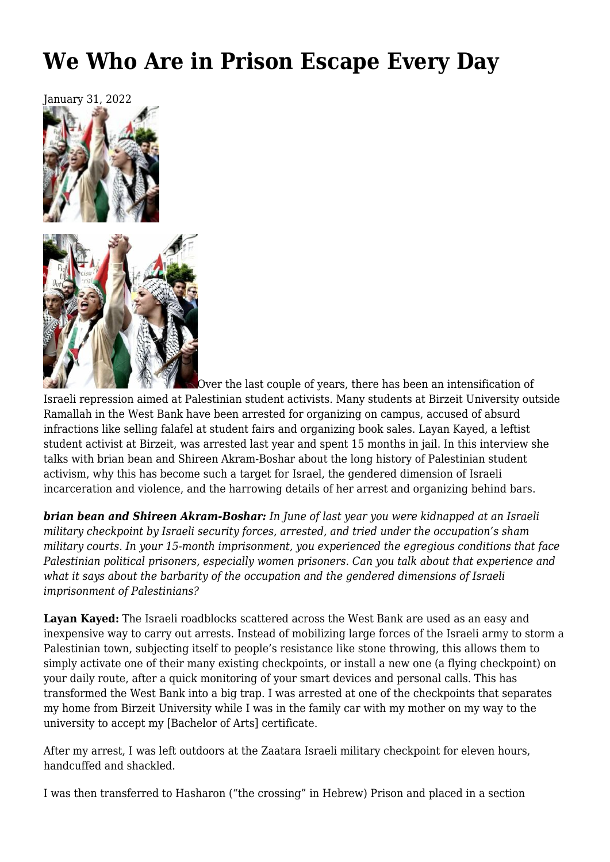# **[We Who Are in Prison Escape Every Day](https://newpol.org/issue_post/we-who-are-in-prison-escape-every-day/)**



Over the last couple of years, there has been an intensification of Israeli repression aimed at Palestinian student activists. Many students at Birzeit University outside Ramallah in the West Bank have been arrested for organizing on campus, accused of absurd infractions like selling falafel at student fairs and organizing book sales. Layan Kayed, a leftist student activist at Birzeit, was arrested last year and spent 15 months in jail. In this interview she talks with brian bean and Shireen Akram-Boshar about the long history of Palestinian student activism, why this has become such a target for Israel, the gendered dimension of Israeli incarceration and violence, and the harrowing details of her arrest and organizing behind bars.

*brian bean and Shireen Akram-Boshar: In June of last year you were kidnapped at an Israeli military checkpoint by Israeli security forces, arrested, and tried under the occupation's sham [military courts](https://www.btselem.org/topic/military_courts). In your 15-month imprisonment, you experienced the egregious conditions that face Palestinian political prisoners, especially women prisoners. Can you talk about that experience and what it says about the barbarity of the occupation and the gendered dimensions of Israeli imprisonment of Palestinians?*

**Layan Kayed:** The Israeli roadblocks scattered across the West Bank are used as an easy and inexpensive way to carry out arrests. Instead of mobilizing large forces of the Israeli army to storm a Palestinian town, subjecting itself to people's resistance like stone throwing, this allows them to simply activate one of their many existing checkpoints, or install a new one (a flying checkpoint) on your daily route, after a quick monitoring of your smart devices and personal calls. This has transformed the West Bank into a big trap. I was arrested at one of the checkpoints that separates my home from Birzeit University while I was in the family car with my mother on my way to the university to accept my [Bachelor of Arts] certificate.

After my arrest, I was left outdoors at the Zaatara Israeli military checkpoint for eleven hours, handcuffed and shackled.

I was then transferred to Hasharon ("the crossing" in Hebrew) Prison and placed in a section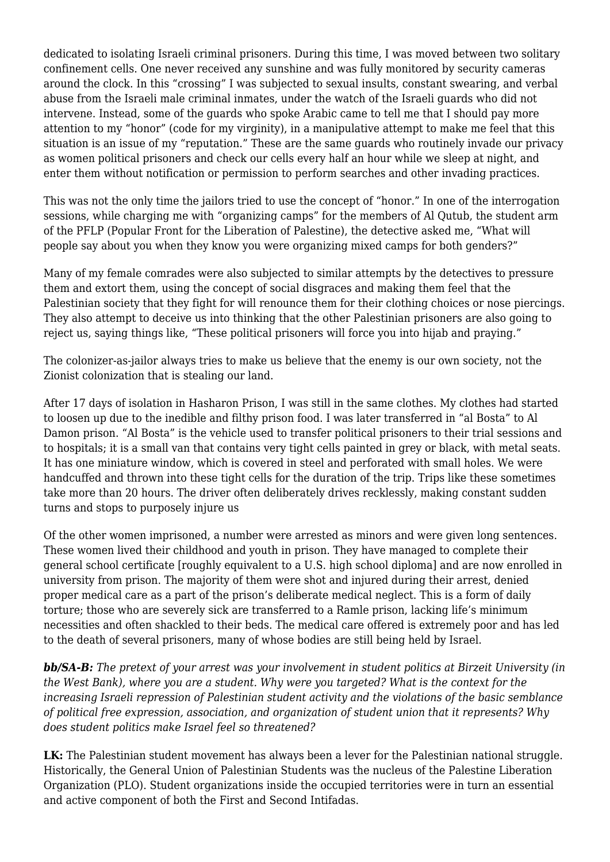dedicated to isolating Israeli criminal prisoners. During this time, I was moved between two solitary confinement cells. One never received any sunshine and was fully monitored by security cameras around the clock. In this "crossing" I was subjected to sexual insults, constant swearing, and verbal abuse from the Israeli male criminal inmates, under the watch of the Israeli guards who did not intervene. Instead, some of the guards who spoke Arabic came to tell me that I should pay more attention to my "honor" (code for my virginity), in a manipulative attempt to make me feel that this situation is an issue of my "reputation." These are the same guards who routinely invade our privacy as women political prisoners and check our cells every half an hour while we sleep at night, and enter them without notification or permission to perform searches and other invading practices.

This was not the only time the jailors tried to use the concept of "honor." In one of the interrogation sessions, while charging me with "organizing camps" for the members of Al Qutub, the student arm of the PFLP (Popular Front for the Liberation of Palestine), the detective asked me, "What will people say about you when they know you were organizing mixed camps for both genders?"

Many of my female comrades were also subjected to similar attempts by the detectives to pressure them and extort them, using the concept of social disgraces and making them feel that the Palestinian society that they fight for will renounce them for their clothing choices or nose piercings. They also attempt to deceive us into thinking that the other Palestinian prisoners are also going to reject us, saying things like, "These political prisoners will force you into hijab and praying."

The colonizer-as-jailor always tries to make us believe that the enemy is our own society, not the Zionist colonization that is stealing our land.

After 17 days of isolation in Hasharon Prison, I was still in the same clothes. My clothes had started to loosen up due to the inedible and filthy prison food. I was later transferred in "al Bosta" to Al Damon prison. "Al Bosta" is the vehicle used to transfer political prisoners to their trial sessions and to hospitals; it is a small van that contains very tight cells painted in grey or black, with metal seats. It has one miniature window, which is covered in steel and perforated with small holes. We were handcuffed and thrown into these tight cells for the duration of the trip. Trips like these sometimes take more than 20 hours. The driver often deliberately drives recklessly, making constant sudden turns and stops to purposely injure us

Of the other women imprisoned, a number were arrested as minors and were given long sentences. These women lived their childhood and youth in prison. They have managed to complete their general school certificate [roughly equivalent to a U.S. high school diploma] and are now enrolled in university from prison. The majority of them were shot and injured during their arrest, denied proper medical care as a part of the prison's deliberate medical neglect. This is a form of daily torture; those who are severely sick are transferred to a [Ramle prison,](https://www.addameer.org/prisons/ramleh-prison-clinic) lacking life's minimum necessities and often shackled to their beds. The medical care offered is extremely poor and has led to the death of several prisoners, many of whose bodies are still being held by Israel.

*bb/SA-B: The pretext of your arrest was your involvement in student politics at Birzeit University (in the West Bank), where you are a student. Why were you targeted? What is the context for the increasing Israeli repression of Palestinian student activity and the violations of the basic semblance of political free expression, association, and organization of student union that it represents? Why does student politics make Israel feel so threatened?*

**LK:** The Palestinian student movement has always been a lever for the Palestinian national struggle. Historically, the General Union of Palestinian Students was the nucleus of the Palestine Liberation Organization (PLO). Student organizations inside the occupied territories were in turn an essential and active component of both the First and Second Intifadas.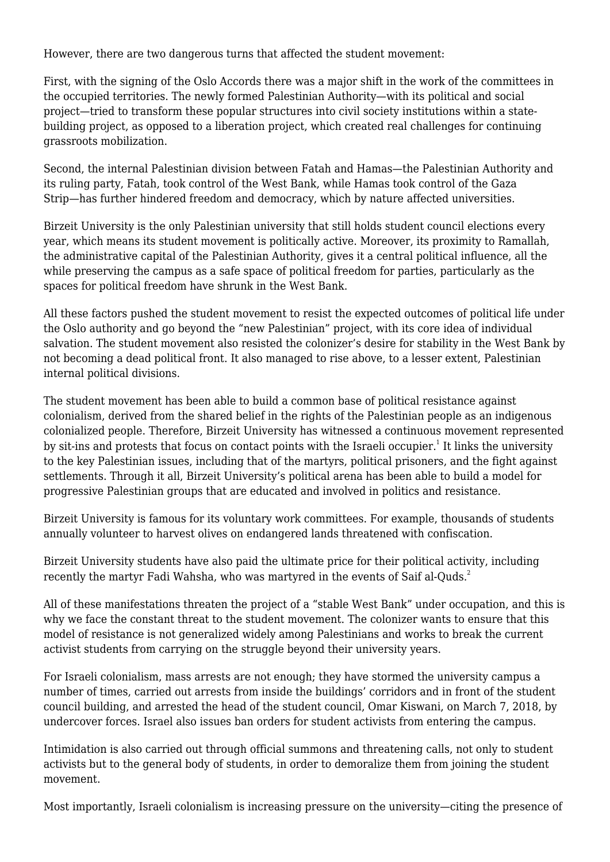However, there are two dangerous turns that affected the student movement:

First, with the signing of the Oslo Accords there was a major shift in the work of the committees in the occupied territories. The newly formed Palestinian Authority—with its political and social project—tried to transform these popular structures into civil society institutions within a statebuilding project, as opposed to a liberation project, which created real challenges for continuing grassroots mobilization.

Second, the internal Palestinian division between Fatah and Hamas—the Palestinian Authority and its ruling party, Fatah, took control of the West Bank, while Hamas took control of the Gaza Strip—has further hindered freedom and democracy, which by nature affected universities.

Birzeit University is the only Palestinian university that still holds student council elections every year, which means its student movement is politically active. Moreover, its proximity to Ramallah, the administrative capital of the Palestinian Authority, gives it a central political influence, all the while preserving the campus as a safe space of political freedom for parties, particularly as the spaces for political freedom have shrunk in the West Bank.

All these factors pushed the student movement to resist the expected outcomes of political life under the Oslo authority and go beyond the "new Palestinian" project, with its core idea of individual salvation. The student movement also resisted the colonizer's desire for stability in the West Bank by not becoming a dead political front. It also managed to rise above, to a lesser extent, Palestinian internal political divisions.

The student movement has been able to build a common base of political resistance against colonialism, derived from the shared belief in the rights of the Palestinian people as an indigenous colonialized people. Therefore, Birzeit University has witnessed a continuous movement represented by sit-ins and protests that focus on contact points with the Israeli occupier. $^{\rm 1}$  It links the university to the key Palestinian issues, including that of the martyrs, political prisoners, and the fight against settlements. Through it all, Birzeit University's political arena has been able to build a model for progressive Palestinian groups that are educated and involved in politics and resistance.

Birzeit University is famous for its voluntary work committees. For example, thousands of students annually volunteer to harvest olives on endangered lands threatened with confiscation.

Birzeit University students have also paid the ultimate price for their political activity, including recently the martyr Fadi Wahsha, who was martyred in the events of Saif al-Quds.<sup>2</sup>

All of these manifestations threaten the project of a "stable West Bank" under occupation, and this is why we face the constant threat to the student movement. The colonizer wants to ensure that this model of resistance is not generalized widely among Palestinians and works to break the current activist students from carrying on the struggle beyond their university years.

For Israeli colonialism, mass arrests are not enough; they have stormed the university campus a number of times, carried out arrests from inside the buildings' corridors and in front of the student council building, and arrested the head of the student council, Omar Kiswani, on March 7, 2018, by undercover forces. Israel also issues ban orders for student activists from entering the campus.

Intimidation is also carried out through official summons and threatening calls, not only to student activists but to the general body of students, in order to demoralize them from joining the student movement.

Most importantly, Israeli colonialism is increasing pressure on the university—citing the presence of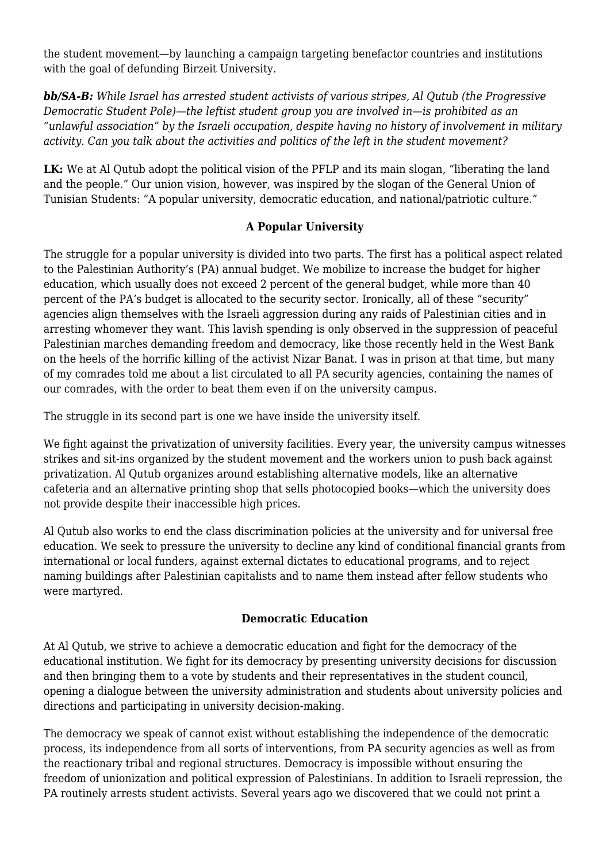the student movement—by launching a campaign targeting benefactor countries and institutions with the goal of defunding Birzeit University.

*bb/SA-B: While Israel has arrested student activists of various stripes, Al Qutub (the Progressive Democratic Student Pole)—the leftist student group you are involved in—is prohibited as an "unlawful association" by the Israeli occupation, despite having no history of involvement in military activity. Can you talk about the activities and politics of the left in the student movement?*

LK: We at Al Qutub adopt the political vision of the PFLP and its main slogan, "liberating the land and the people." Our union vision, however, was inspired by the slogan of the General Union of Tunisian Students: "A popular university, democratic education, and national/patriotic culture."

### **A Popular University**

The struggle for a popular university is divided into two parts. The first has a political aspect related to the Palestinian Authority's (PA) annual budget. We mobilize to increase the budget for higher education, which usually does not exceed 2 percent of the general budget, while more than 40 percent of the PA's budget is allocated to the security sector. Ironically, all of these "security" agencies align themselves with the Israeli aggression during any raids of Palestinian cities and in arresting whomever they want. This lavish spending is only observed in the suppression of peaceful Palestinian marches demanding freedom and democracy, like those recently held in the West Bank on the heels of the horrific killing of the activist Nizar Banat. I was in prison at that time, but many of my comrades told me about a list circulated to all PA security agencies, containing the names of our comrades, with the order to beat them even if on the university campus.

The struggle in its second part is one we have inside the university itself.

We fight against the privatization of university facilities. Every year, the university campus witnesses strikes and sit-ins organized by the student movement and the workers union to push back against privatization. Al Qutub organizes around establishing alternative models, like an alternative cafeteria and an alternative printing shop that sells photocopied books—which the university does not provide despite their inaccessible high prices.

Al Qutub also works to end the class discrimination policies at the university and for universal free education. We seek to pressure the university to decline any kind of conditional financial grants from international or local funders, against external dictates to educational programs, and to reject naming buildings after Palestinian capitalists and to name them instead after fellow students who were martyred.

#### **Democratic Education**

At Al Qutub, we strive to achieve a democratic education and fight for the democracy of the educational institution. We fight for its democracy by presenting university decisions for discussion and then bringing them to a vote by students and their representatives in the student council, opening a dialogue between the university administration and students about university policies and directions and participating in university decision-making.

The democracy we speak of cannot exist without establishing the independence of the democratic process, its independence from all sorts of interventions, from PA security agencies as well as from the reactionary tribal and regional structures. Democracy is impossible without ensuring the freedom of unionization and political expression of Palestinians. In addition to Israeli repression, the PA routinely arrests student activists. Several years ago we discovered that we could not print a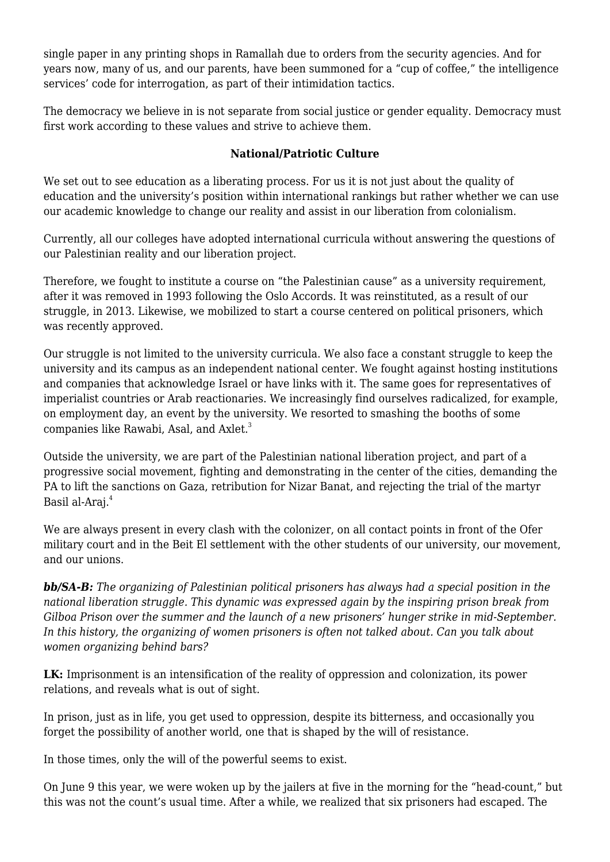single paper in any printing shops in Ramallah due to orders from the security agencies. And for years now, many of us, and our parents, have been summoned for a "cup of coffee," the intelligence services' code for interrogation, as part of their intimidation tactics.

The democracy we believe in is not separate from social justice or gender equality. Democracy must first work according to these values and strive to achieve them.

## **National/Patriotic Culture**

We set out to see education as a liberating process. For us it is not just about the quality of education and the university's position within international rankings but rather whether we can use our academic knowledge to change our reality and assist in our liberation from colonialism.

Currently, all our colleges have adopted international curricula without answering the questions of our Palestinian reality and our liberation project.

Therefore, we fought to institute a course on "the Palestinian cause" as a university requirement, after it was removed in 1993 following the Oslo Accords. It was reinstituted, as a result of our struggle, in 2013. Likewise, we mobilized to start a course centered on political prisoners, which was recently approved.

Our struggle is not limited to the university curricula. We also face a constant struggle to keep the university and its campus as an independent national center. We fought against hosting institutions and companies that acknowledge Israel or have links with it. The same goes for representatives of imperialist countries or Arab reactionaries. We increasingly find ourselves radicalized, for example, on employment day, an event by the university. We resorted to smashing the booths of some companies like Rawabi, Asal, and Axlet.<sup>3</sup>

Outside the university, we are part of the Palestinian national liberation project, and part of a progressive social movement, fighting and demonstrating in the center of the cities, demanding the PA to lift the sanctions on Gaza, retribution for Nizar Banat, and rejecting the trial of the martyr Basil al-Araj.<sup>4</sup>

We are always present in every clash with the colonizer, on all contact points in front of the Ofer military court and in the Beit El settlement with the other students of our university, our movement, and our unions.

*bb/SA-B: The organizing of Palestinian political prisoners has always had a special position in the national liberation struggle. This dynamic was expressed again by the inspiring prison break from Gilboa Prison over the summer and the launch of a new prisoners' hunger strike in mid-September. In this history, the organizing of women prisoners is often not talked about. Can you talk about women organizing behind bars?*

**LK:** Imprisonment is an intensification of the reality of oppression and colonization, its power relations, and reveals what is out of sight.

In prison, just as in life, you get used to oppression, despite its bitterness, and occasionally you forget the possibility of another world, one that is shaped by the will of resistance.

In those times, only the will of the powerful seems to exist.

On June 9 this year, we were woken up by the jailers at five in the morning for the "head-count," but this was not the count's usual time. After a while, we realized that six prisoners had escaped. The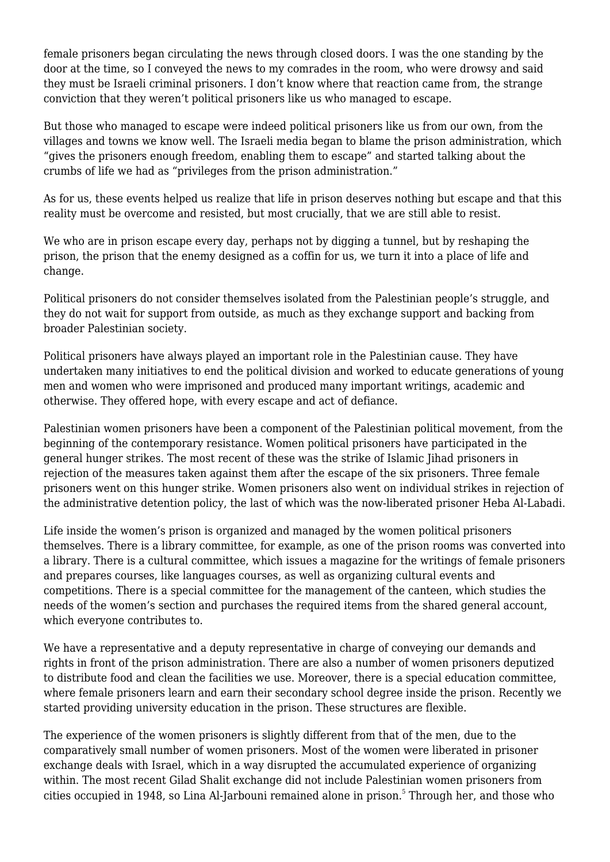female prisoners began circulating the news through closed doors. I was the one standing by the door at the time, so I conveyed the news to my comrades in the room, who were drowsy and said they must be Israeli criminal prisoners. I don't know where that reaction came from, the strange conviction that they weren't political prisoners like us who managed to escape.

But those who managed to escape were indeed political prisoners like us from our own, from the villages and towns we know well. The Israeli media began to blame the prison administration, which "gives the prisoners enough freedom, enabling them to escape" and started talking about the crumbs of life we had as "privileges from the prison administration."

As for us, these events helped us realize that life in prison deserves nothing but escape and that this reality must be overcome and resisted, but most crucially, that we are still able to resist.

We who are in prison escape every day, perhaps not by digging a tunnel, but by reshaping the prison, the prison that the enemy designed as a coffin for us, we turn it into a place of life and change.

Political prisoners do not consider themselves isolated from the Palestinian people's struggle, and they do not wait for support from outside, as much as they exchange support and backing from broader Palestinian society.

Political prisoners have always played an important role in the Palestinian cause. They have undertaken many initiatives to end the political division and worked to educate generations of young men and women who were imprisoned and produced many important writings, academic and otherwise. They offered hope, with every escape and act of defiance.

Palestinian women prisoners have been a component of the Palestinian political movement, from the beginning of the contemporary resistance. Women political prisoners have participated in the general hunger strikes. The most recent of these was the strike of Islamic Jihad prisoners in rejection of the measures taken against them after the escape of the six prisoners. Three female prisoners went on this hunger strike. Women prisoners also went on individual strikes in rejection of the administrative detention policy, the last of which was the now-liberated prisoner Heba Al-Labadi.

Life inside the women's prison is organized and managed by the women political prisoners themselves. There is a library committee, for example, as one of the prison rooms was converted into a library. There is a cultural committee, which issues a magazine for the writings of female prisoners and prepares courses, like languages courses, as well as organizing cultural events and competitions. There is a special committee for the management of the canteen, which studies the needs of the women's section and purchases the required items from the shared general account, which everyone contributes to.

We have a representative and a deputy representative in charge of conveying our demands and rights in front of the prison administration. There are also a number of women prisoners deputized to distribute food and clean the facilities we use. Moreover, there is a special education committee, where female prisoners learn and earn their secondary school degree inside the prison. Recently we started providing university education in the prison. These structures are flexible.

The experience of the women prisoners is slightly different from that of the men, due to the comparatively small number of women prisoners. Most of the women were liberated in prisoner exchange deals with Israel, which in a way disrupted the accumulated experience of organizing within. The most recent Gilad Shalit exchange did not include Palestinian women prisoners from cities occupied in 1948, so Lina Al-Jarbouni remained alone in prison.<sup>5</sup> Through her, and those who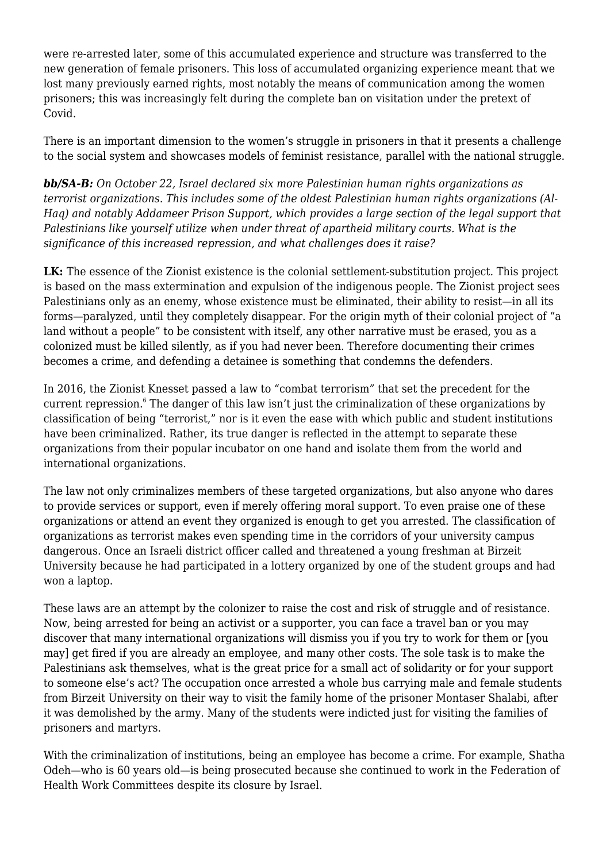were re-arrested later, some of this accumulated experience and structure was transferred to the new generation of female prisoners. This loss of accumulated organizing experience meant that we lost many previously earned rights, most notably the means of communication among the women prisoners; this was increasingly felt during the complete ban on visitation under the pretext of Covid.

There is an important dimension to the women's struggle in prisoners in that it presents a challenge to the social system and showcases models of feminist resistance, parallel with the national struggle.

*bb/SA-B: On October 22, Israel declared six more Palestinian human rights organizations as terrorist organizations. This includes some of the oldest Palestinian human rights organizations (Al-Haq) and notably Addameer Prison Support, which provides a large section of the legal support that Palestinians like yourself utilize when under threat of apartheid military courts. What is the significance of this increased repression, and what challenges does it raise?*

**LK:** The essence of the Zionist existence is the colonial settlement-substitution project. This project is based on the mass extermination and expulsion of the indigenous people. The Zionist project sees Palestinians only as an enemy, whose existence must be eliminated, their ability to resist—in all its forms—paralyzed, until they completely disappear. For the origin myth of their colonial project of "a land without a people" to be consistent with itself, any other narrative must be erased, you as a colonized must be killed silently, as if you had never been. Therefore documenting their crimes becomes a crime, and defending a detainee is something that condemns the defenders.

In 2016, the Zionist Knesset passed a law to "combat terrorism" that set the precedent for the current repression. $^6$  The danger of this law isn't just the criminalization of these organizations by classification of being "terrorist," nor is it even the ease with which public and student institutions have been criminalized. Rather, its true danger is reflected in the attempt to separate these organizations from their popular incubator on one hand and isolate them from the world and international organizations.

The law not only criminalizes members of these targeted organizations, but also anyone who dares to provide services or support, even if merely offering moral support. To even praise one of these organizations or attend an event they organized is enough to get you arrested. The classification of organizations as terrorist makes even spending time in the corridors of your university campus dangerous. Once an Israeli district officer called and threatened a young freshman at Birzeit University because he had participated in a lottery organized by one of the student groups and had won a laptop.

These laws are an attempt by the colonizer to raise the cost and risk of struggle and of resistance. Now, being arrested for being an activist or a supporter, you can face a travel ban or you may discover that many international organizations will dismiss you if you try to work for them or [you may] get fired if you are already an employee, and many other costs. The sole task is to make the Palestinians ask themselves, what is the great price for a small act of solidarity or for your support to someone else's act? The occupation once arrested a whole bus carrying male and female students from Birzeit University on their way to visit the family home of the prisoner Montaser Shalabi, after it was demolished by the army. Many of the students were indicted just for visiting the families of prisoners and martyrs.

With the criminalization of institutions, being an employee has become a crime. For example, Shatha Odeh—who is 60 years old—is being prosecuted because she continued to work in the Federation of Health Work Committees despite its closure by Israel.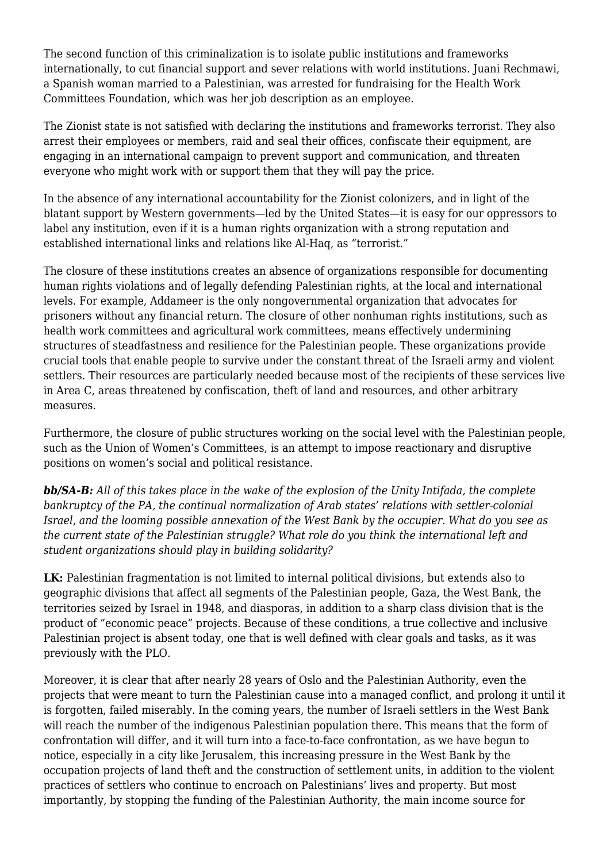The second function of this criminalization is to isolate public institutions and frameworks internationally, to cut financial support and sever relations with world institutions. Juani Rechmawi, a Spanish woman married to a Palestinian, was arrested for fundraising for the Health Work Committees Foundation, which was her job description as an employee.

The Zionist state is not satisfied with declaring the institutions and frameworks terrorist. They also arrest their employees or members, raid and seal their offices, confiscate their equipment, are engaging in an international campaign to prevent support and communication, and threaten everyone who might work with or support them that they will pay the price.

In the absence of any international accountability for the Zionist colonizers, and in light of the blatant support by Western governments—led by the United States—it is easy for our oppressors to label any institution, even if it is a human rights organization with a strong reputation and established international links and relations like Al-Haq, as "terrorist."

The closure of these institutions creates an absence of organizations responsible for documenting human rights violations and of legally defending Palestinian rights, at the local and international levels. For example, Addameer is the only nongovernmental organization that advocates for prisoners without any financial return. The closure of other nonhuman rights institutions, such as health work committees and agricultural work committees, means effectively undermining structures of steadfastness and resilience for the Palestinian people. These organizations provide crucial tools that enable people to survive under the constant threat of the Israeli army and violent settlers. Their resources are particularly needed because most of the recipients of these services live in Area C, areas threatened by confiscation, theft of land and resources, and other arbitrary measures.

Furthermore, the closure of public structures working on the social level with the Palestinian people, such as the Union of Women's Committees, is an attempt to impose reactionary and disruptive positions on women's social and political resistance.

*bb/SA-B: All of this takes place in the wake of the explosion of the Unity Intifada, the complete bankruptcy of the PA, the continual normalization of Arab states' relations with settler-colonial Israel, and the looming possible annexation of the West Bank by the occupier. What do you see as the current state of the Palestinian struggle? What role do you think the international left and student organizations should play in building solidarity?*

LK: Palestinian fragmentation is not limited to internal political divisions, but extends also to geographic divisions that affect all segments of the Palestinian people, Gaza, the West Bank, the territories seized by Israel in 1948, and diasporas, in addition to a sharp class division that is the product of "economic peace" projects. Because of these conditions, a true collective and inclusive Palestinian project is absent today, one that is well defined with clear goals and tasks, as it was previously with the PLO.

Moreover, it is clear that after nearly 28 years of Oslo and the Palestinian Authority, even the projects that were meant to turn the Palestinian cause into a managed conflict, and prolong it until it is forgotten, failed miserably. In the coming years, the number of Israeli settlers in the West Bank will reach the number of the indigenous Palestinian population there. This means that the form of confrontation will differ, and it will turn into a face-to-face confrontation, as we have begun to notice, especially in a city like Jerusalem, this increasing pressure in the West Bank by the occupation projects of land theft and the construction of settlement units, in addition to the violent practices of settlers who continue to encroach on Palestinians' lives and property. But most importantly, by stopping the funding of the Palestinian Authority, the main income source for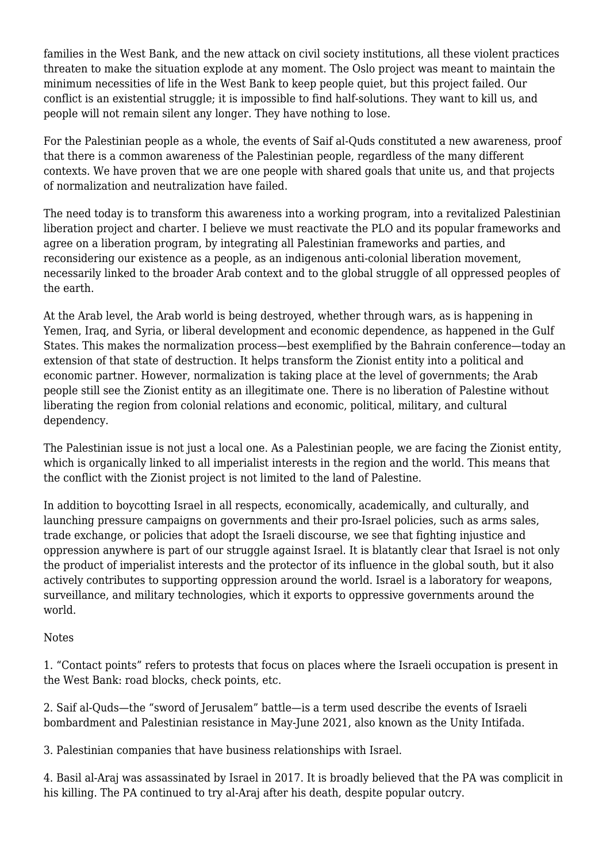families in the West Bank, and the new attack on civil society institutions, all these violent practices threaten to make the situation explode at any moment. The Oslo project was meant to maintain the minimum necessities of life in the West Bank to keep people quiet, but this project failed. Our conflict is an existential struggle; it is impossible to find half-solutions. They want to kill us, and people will not remain silent any longer. They have nothing to lose.

For the Palestinian people as a whole, the events of Saif al-Quds constituted a new awareness, proof that there is a common awareness of the Palestinian people, regardless of the many different contexts. We have proven that we are one people with shared goals that unite us, and that projects of normalization and neutralization have failed.

The need today is to transform this awareness into a working program, into a revitalized Palestinian liberation project and charter. I believe we must reactivate the PLO and its popular frameworks and agree on a liberation program, by integrating all Palestinian frameworks and parties, and reconsidering our existence as a people, as an indigenous anti-colonial liberation movement, necessarily linked to the broader Arab context and to the global struggle of all oppressed peoples of the earth.

At the Arab level, the Arab world is being destroyed, whether through wars, as is happening in Yemen, Iraq, and Syria, or liberal development and economic dependence, as happened in the Gulf States. This makes the normalization process—best exemplified by the Bahrain conference—today an extension of that state of destruction. It helps transform the Zionist entity into a political and economic partner. However, normalization is taking place at the level of governments; the Arab people still see the Zionist entity as an illegitimate one. There is no liberation of Palestine without liberating the region from colonial relations and economic, political, military, and cultural dependency.

The Palestinian issue is not just a local one. As a Palestinian people, we are facing the Zionist entity, which is organically linked to all imperialist interests in the region and the world. This means that the conflict with the Zionist project is not limited to the land of Palestine.

In addition to boycotting Israel in all respects, economically, academically, and culturally, and launching pressure campaigns on governments and their pro-Israel policies, such as arms sales, trade exchange, or policies that adopt the Israeli discourse, we see that fighting injustice and oppression anywhere is part of our struggle against Israel. It is blatantly clear that Israel is not only the product of imperialist interests and the protector of its influence in the global south, but it also actively contributes to supporting oppression around the world. Israel is a laboratory for weapons, surveillance, and military technologies, which it exports to oppressive governments around the world.

## Notes

1. "Contact points" refers to protests that focus on places where the Israeli occupation is present in the West Bank: road blocks, check points, etc.

2. Saif al-Quds—the "sword of Jerusalem" battle—is a term used describe the events of Israeli bombardment and Palestinian resistance in May-June 2021, also known as the Unity Intifada.

3. Palestinian companies that have business relationships with Israel.

4. Basil al-Araj was assassinated by Israel in 2017. It is broadly believed that the PA was complicit in his killing. The PA continued to try al-Araj after his death, despite popular outcry.